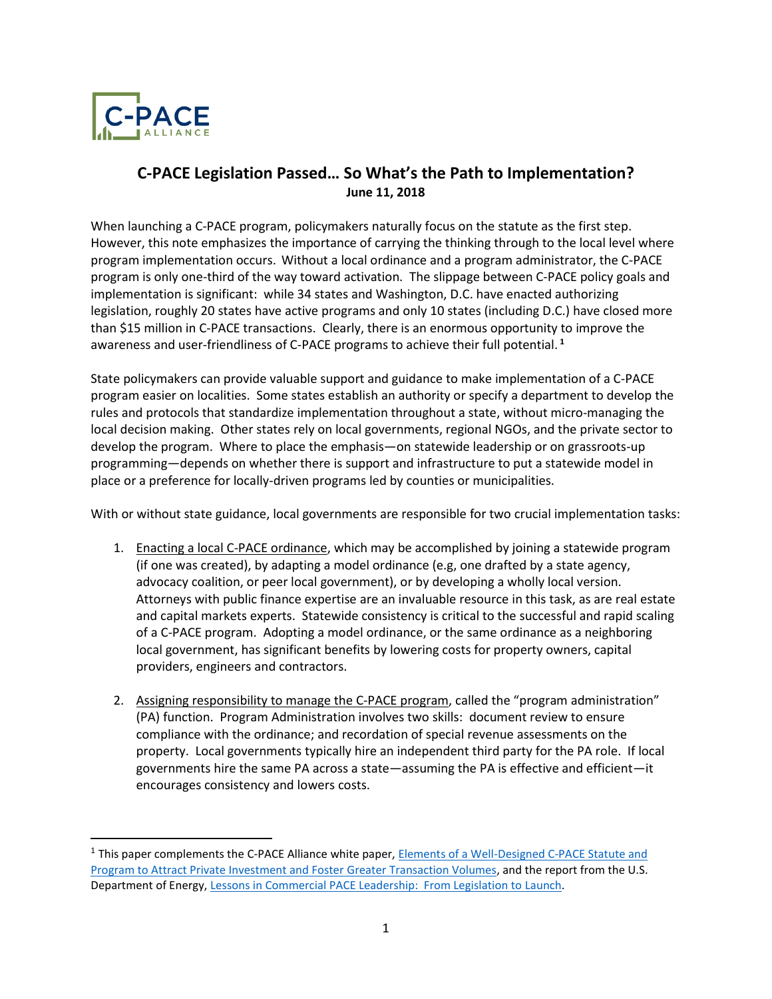

 $\overline{a}$ 

# **C-PACE Legislation Passed… So What's the Path to Implementation? June 11, 2018**

When launching a C-PACE program, policymakers naturally focus on the statute as the first step. However, this note emphasizes the importance of carrying the thinking through to the local level where program implementation occurs. Without a local ordinance and a program administrator, the C-PACE program is only one-third of the way toward activation. The slippage between C-PACE policy goals and implementation is significant: while 34 states and Washington, D.C. have enacted authorizing legislation, roughly 20 states have active programs and only 10 states (including D.C.) have closed more than \$15 million in C-PACE transactions. Clearly, there is an enormous opportunity to improve the awareness and user-friendliness of C-PACE programs to achieve their full potential. **<sup>1</sup>**

State policymakers can provide valuable support and guidance to make implementation of a C-PACE program easier on localities. Some states establish an authority or specify a department to develop the rules and protocols that standardize implementation throughout a state, without micro-managing the local decision making. Other states rely on local governments, regional NGOs, and the private sector to develop the program. Where to place the emphasis—on statewide leadership or on grassroots-up programming—depends on whether there is support and infrastructure to put a statewide model in place or a preference for locally-driven programs led by counties or municipalities.

With or without state guidance, local governments are responsible for two crucial implementation tasks:

- 1. Enacting a local C-PACE ordinance, which may be accomplished by joining a statewide program (if one was created), by adapting a model ordinance (e.g, one drafted by a state agency, advocacy coalition, or peer local government), or by developing a wholly local version. Attorneys with public finance expertise are an invaluable resource in this task, as are real estate and capital markets experts. Statewide consistency is critical to the successful and rapid scaling of a C-PACE program. Adopting a model ordinance, or the same ordinance as a neighboring local government, has significant benefits by lowering costs for property owners, capital providers, engineers and contractors.
- 2. Assigning responsibility to manage the C-PACE program, called the "program administration" (PA) function. Program Administration involves two skills: document review to ensure compliance with the ordinance; and recordation of special revenue assessments on the property. Local governments typically hire an independent third party for the PA role. If local governments hire the same PA across a state—assuming the PA is effective and efficient—it encourages consistency and lowers costs.

<sup>&</sup>lt;sup>1</sup> This paper complements the C-PACE Alliance white paper, **Elements of a Well-Designed C-PACE Statute and** [Program to Attract Private Investment and Foster](http://pacenation.us/wp-content/uploads/2018/01/Well-Designed-CPACE-Programs-1-25-18.pdf) Greater Transaction Volumes, and the report from the U.S. Department of Energy, [Lessons in Commercial PACE Leadership: From Legislation to](https://www.energy.gov/sites/prod/files/2018/03/f49/Lessons_in_Commercial_PACE_Leadership_Final.pdf) Launch.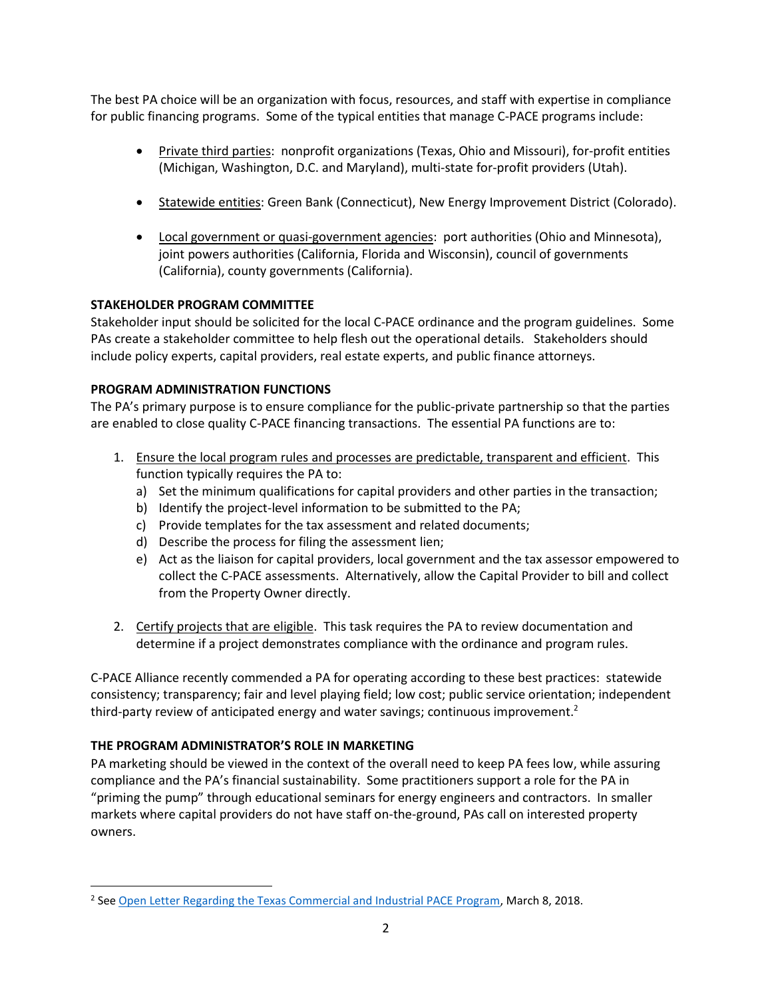The best PA choice will be an organization with focus, resources, and staff with expertise in compliance for public financing programs. Some of the typical entities that manage C-PACE programs include:

- Private third parties: nonprofit organizations (Texas, Ohio and Missouri), for-profit entities (Michigan, Washington, D.C. and Maryland), multi-state for-profit providers (Utah).
- Statewide entities: Green Bank (Connecticut), New Energy Improvement District (Colorado).
- Local government or quasi-government agencies: port authorities (Ohio and Minnesota), joint powers authorities (California, Florida and Wisconsin), council of governments (California), county governments (California).

### **STAKEHOLDER PROGRAM COMMITTEE**

Stakeholder input should be solicited for the local C-PACE ordinance and the program guidelines. Some PAs create a stakeholder committee to help flesh out the operational details. Stakeholders should include policy experts, capital providers, real estate experts, and public finance attorneys.

## **PROGRAM ADMINISTRATION FUNCTIONS**

The PA's primary purpose is to ensure compliance for the public-private partnership so that the parties are enabled to close quality C-PACE financing transactions. The essential PA functions are to:

- 1. Ensure the local program rules and processes are predictable, transparent and efficient. This function typically requires the PA to:
	- a) Set the minimum qualifications for capital providers and other parties in the transaction;
	- b) Identify the project-level information to be submitted to the PA;
	- c) Provide templates for the tax assessment and related documents;
	- d) Describe the process for filing the assessment lien;
	- e) Act as the liaison for capital providers, local government and the tax assessor empowered to collect the C-PACE assessments. Alternatively, allow the Capital Provider to bill and collect from the Property Owner directly.
- 2. Certify projects that are eligible. This task requires the PA to review documentation and determine if a project demonstrates compliance with the ordinance and program rules.

C-PACE Alliance recently commended a PA for operating according to these best practices: statewide consistency; transparency; fair and level playing field; low cost; public service orientation; independent third-party review of anticipated energy and water savings; continuous improvement.<sup>2</sup>

### **THE PROGRAM ADMINISTRATOR'S ROLE IN MARKETING**

 $\overline{\phantom{a}}$ 

PA marketing should be viewed in the context of the overall need to keep PA fees low, while assuring compliance and the PA's financial sustainability. Some practitioners support a role for the PA in "priming the pump" through educational seminars for energy engineers and contractors. In smaller markets where capital providers do not have staff on-the-ground, PAs call on interested property owners.

<sup>&</sup>lt;sup>2</sup> See [Open Letter Regarding the Texas Commercial and Industrial PACE Program,](http://www.c-pacealliance.com/wp-content/uploads/2018/03/Open-Letter-regarding-the-Texas-PACE-program-030518.pdf) March 8, 2018.